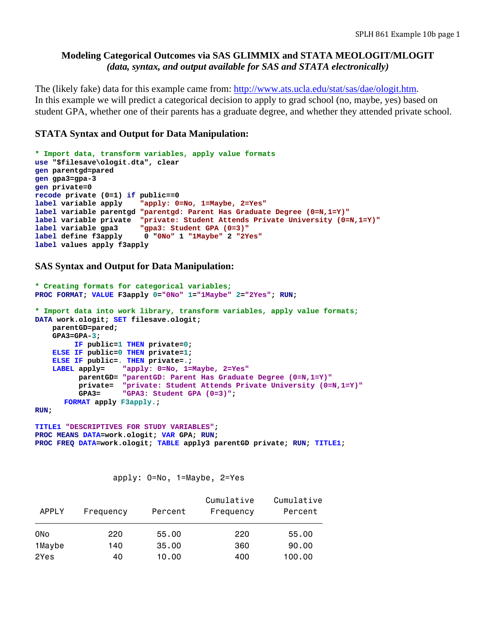# **Modeling Categorical Outcomes via SAS GLIMMIX and STATA MEOLOGIT/MLOGIT**  *(data, syntax, and output available for SAS and STATA electronically)*

The (likely fake) data for this example came from: http://www.ats.ucla.edu/stat/sas/dae/ologit.htm. In this example we will predict a categorical decision to apply to grad school (no, maybe, yes) based on student GPA, whether one of their parents has a graduate degree, and whether they attended private school.

## **STATA Syntax and Output for Data Manipulation:**

```
* Import data, transform variables, apply value formats 
use "$filesave\ologit.dta", clear 
gen parentgd=pared 
gen gpa3=gpa-3 
gen private=0 
recode private (0=1) if public==0 
label variable apply "apply: 0=No, 1=Maybe, 2=Yes"
label variable parentgd "parentgd: Parent Has Graduate Degree (0=N,1=Y)"
label variable private "private: Student Attends Private University (0=N,1=Y)"
label variable gpa3 "gpa3: Student GPA (0=3)"
label define f3apply 0 "0No" 1 "1Maybe" 2 "2Yes"
label values apply f3apply
```
**SAS Syntax and Output for Data Manipulation:**

```
* Creating formats for categorical variables;
PROC FORMAT; VALUE F3apply 0="0No" 1="1Maybe" 2="2Yes"; RUN; 
* Import data into work library, transform variables, apply value formats;
DATA work.ologit; SET filesave.ologit; 
     parentGD=pared; 
     GPA3=GPA-3; 
          IF public=1 THEN private=0; 
     ELSE IF public=0 THEN private=1; 
     ELSE IF public=. THEN private=.; 
     LABEL apply= "apply: 0=No, 1=Maybe, 2=Yes"
           parentGD= "parentGD: Parent Has Graduate Degree (0=N,1=Y)"
           private= "private: Student Attends Private University (0=N,1=Y)"
           GPA3= "GPA3: Student GPA (0=3)"; 
      FORMAT apply F3apply.;
```
**RUN;** 

**TITLE1 "DESCRIPTIVES FOR STUDY VARIABLES"; PROC MEANS DATA=work.ologit; VAR GPA; RUN; PROC FREQ DATA=work.ologit; TABLE apply3 parentGD private; RUN; TITLE1;** 

apply: 0=No, 1=Maybe, 2=Yes

| APPLY  | Frequency | Percent | Cumulative<br>Frequency | Cumulative<br>Percent |
|--------|-----------|---------|-------------------------|-----------------------|
| 0No    | 220       | 55,00   | 220                     | 55.00                 |
| 1Maybe | 140       | 35,00   | 360                     | 90.00                 |
| 2Yes   | 40        | 10.00   | 400                     | 100.00                |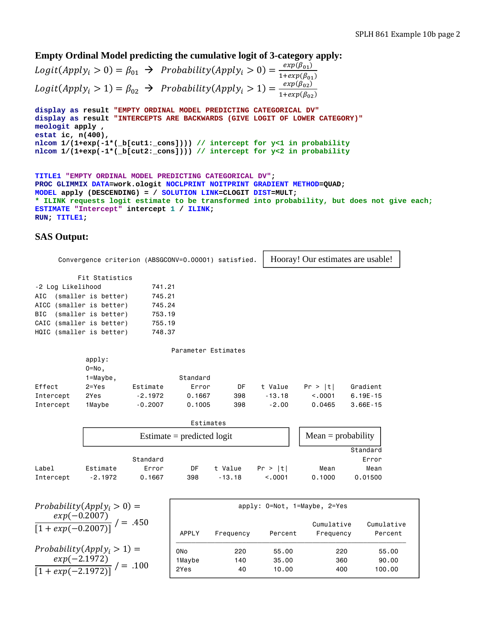**Empty Ordinal Model predicting the cumulative logit of 3-category apply:**

 $Logit(Apply_i > 0) = \beta_{01} \rightarrow \text{Probability}(Apply_i > 0) = \frac{exp(\beta_{01})}{1+exp(\beta_{01})}$  $Logit(Apply_i > 1) = \beta_{02} \rightarrow \text{Probability}(Apply_i > 1) = \frac{exp(\beta_{02})}{1+exp(\beta_{02})}$ 

**display as result "EMPTY ORDINAL MODEL PREDICTING CATEGORICAL DV" display as result "INTERCEPTS ARE BACKWARDS (GIVE LOGIT OF LOWER CATEGORY)" meologit apply , estat ic, n(400), nlcom 1/(1+exp(-1\*(\_b[cut1:\_cons]))) // intercept for y<1 in probability nlcom 1/(1+exp(-1\*(\_b[cut2:\_cons]))) // intercept for y<2 in probability**

```
TITLE1 "EMPTY ORDINAL MODEL PREDICTING CATEGORICAL DV"; 
PROC GLIMMIX DATA=work.ologit NOCLPRINT NOITPRINT GRADIENT METHOD=QUAD; 
MODEL apply (DESCENDING) = / SOLUTION LINK=CLOGIT DIST=MULT; 
* ILINK requests logit estimate to be transformed into probability, but does not give each;
ESTIMATE "Intercept" intercept 1 / ILINK; 
RUN; TITLE1;
```
### **SAS Output:**

|            |                   |                          | Convergence criterion (ABSGCONV=0.00001) satisfied. |                      |                     |          | Hooray! Our estimates are usable! |              |  |  |
|------------|-------------------|--------------------------|-----------------------------------------------------|----------------------|---------------------|----------|-----------------------------------|--------------|--|--|
|            |                   | Fit Statistics           |                                                     |                      |                     |          |                                   |              |  |  |
|            | -2 Log Likelihood |                          | 741.21                                              |                      |                     |          |                                   |              |  |  |
| AIC        |                   | (smaller is better)      | 745.21                                              |                      |                     |          |                                   |              |  |  |
| AICC       |                   | (smaller is better)      | 745.24                                              |                      |                     |          |                                   |              |  |  |
| <b>BIC</b> |                   | (smaller is better)      | 753.19                                              |                      |                     |          |                                   |              |  |  |
|            |                   | CAIC (smaller is better) | 755.19                                              |                      |                     |          |                                   |              |  |  |
|            |                   | HQIC (smaller is better) | 748.37                                              |                      |                     |          |                                   |              |  |  |
|            |                   |                          |                                                     |                      | Parameter Estimates |          |                                   |              |  |  |
|            |                   | apply:                   |                                                     |                      |                     |          |                                   |              |  |  |
|            |                   | $0 = No,$                |                                                     |                      |                     |          |                                   |              |  |  |
|            |                   | $1 = Maybe,$             |                                                     | Standard             |                     |          |                                   |              |  |  |
| Effect     |                   | $2 = Yes$                | Estimate                                            | Error                | <b>DF</b>           | t Value  | Pr >  t                           | Gradient     |  |  |
| Intercept  |                   | 2Yes                     | $-2.1972$                                           | 0.1667               | 398                 | $-13.18$ | < 0.001                           | $6.19E - 15$ |  |  |
| Intercept  |                   | 1Maybe                   | $-0.2007$                                           | 0.1005               | 398                 | $-2.00$  | 0.0465                            | $3.66E - 15$ |  |  |
|            |                   |                          |                                                     | Estimates            |                     |          |                                   |              |  |  |
|            |                   |                          |                                                     | $Mean = probability$ |                     |          |                                   |              |  |  |
|            |                   |                          |                                                     |                      |                     |          |                                   | Standard     |  |  |
|            |                   |                          | Standard                                            |                      |                     |          |                                   | Error        |  |  |
| Label      |                   | Estimate                 | Error                                               | DF                   | t Value             | Pr >  t  | Mean                              | Mean         |  |  |
| Intercept  |                   | $-2.1972$                | 0.1667                                              | 398                  | $-13.18$            | < 0.001  | 0.1000                            | 0.01500      |  |  |

| $Probability(Apply_i > 0) =$                            |              | apply: 0=Not, 1=Maybe, 2=Yes |         |                         |                       |  |  |  |  |
|---------------------------------------------------------|--------------|------------------------------|---------|-------------------------|-----------------------|--|--|--|--|
| $\frac{exp(-0.2007)}{[1+exp(-0.2007)]} /$<br>$' = .450$ | <b>APPLY</b> | Frequency                    | Percent | Cumulative<br>Frequency | Cumulative<br>Percent |  |  |  |  |
| Probability $(Apply_i > 1) =$                           | 0No          | 220                          | 55.00   | 220                     | 55.00                 |  |  |  |  |
|                                                         | 1Maybe       | 140                          | 35.00   | 360                     | 90.00                 |  |  |  |  |
| $\frac{exp(-2.1972)}{[1+exp(-2.1972)]}$<br>$=.100$      | 2Yes         | 40                           | 10.00   | 400                     | 100.00                |  |  |  |  |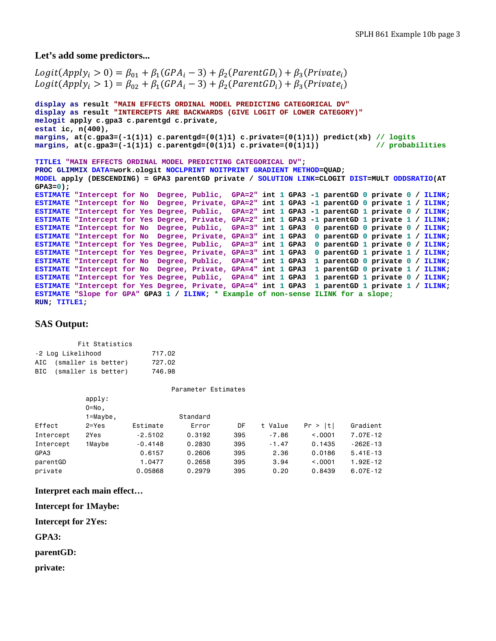#### **Let's add some predictors...**

```
Logit(Apply_i > 0) = \beta_{01} + \beta_1(GPA_i - 3) + \beta_2(ParentGD_i) + \beta_3(Private_i)Logit(Apply_i > 1) = \beta_{02} + \beta_1(GPA_i - 3) + \beta_2(ParentGD_i) + \beta_3(Private_i)display as result "MAIN EFFECTS ORDINAL MODEL PREDICTING CATEGORICAL DV" 
display as result "INTERCEPTS ARE BACKWARDS (GIVE LOGIT OF LOWER CATEGORY)"
melogit apply c.gpa3 c.parentgd c.private, 
estat ic, n(400), 
margins, at(c.gpa3=(-1(1)1) c.parentgd=(0(1)1) c.private=(0(1)1)) predict(xb) // logits
margins, at(c.gpa3=(-1(1)1) c.parentgd=(0(1)1) c.private=(0(1)1))TITLE1 "MAIN EFFECTS ORDINAL MODEL PREDICTING CATEGORICAL DV"; 
PROC GLIMMIX DATA=work.ologit NOCLPRINT NOITPRINT GRADIENT METHOD=QUAD; 
MODEL apply (DESCENDING) = GPA3 parentGD private / SOLUTION LINK=CLOGIT DIST=MULT ODDSRATIO(AT 
GPA3=0); 
ESTIMATE "Intercept for No Degree, Public, GPA=2" int 1 GPA3 -1 parentGD 0 private 0 / ILINK; 
ESTIMATE "Intercept for No Degree, Private, GPA=2" int 1 GPA3 -1 parentGD 0 private 1 / ILINK; 
ESTIMATE "Intercept for Yes Degree, Public, GPA=2" int 1 GPA3 -1 parentGD 1 private 0 / ILINK; 
ESTIMATE "Intercept for Yes Degree, Private, GPA=2" int 1 GPA3 -1 parentGD 1 private 1 / ILINK; 
ESTIMATE "Intercept for No Degree, Public, GPA=3" int 1 GPA3 0 parentGD 0 private 0 / ILINK; 
ESTIMATE "Intercept for No Degree, Private, GPA=3" int 1 GPA3 0 parentGD 0 private 1 / ILINK; 
ESTIMATE "Intercept for Yes Degree, Public, GPA=3" int 1 GPA3 0 parentGD 1 private 0 / ILINK; 
ESTIMATE "Intercept for Yes Degree, Private, GPA=3" int 1 GPA3 0 parentGD 1 private 1 / ILINK; 
ESTIMATE "Intercept for No Degree, Public, GPA=4" int 1 GPA3 1 parentGD 0 private 0 / ILINK; 
ESTIMATE "Intercept for No Degree, Private, GPA=4" int 1 GPA3 1 parentGD 0 private 1 / ILINK; 
ESTIMATE "Intercept for Yes Degree, Public, GPA=4" int 1 GPA3 1 parentGD 1 private 0 / ILINK; 
ESTIMATE "Intercept for Yes Degree, Private, GPA=4" int 1 GPA3 1 parentGD 1 private 1 / ILINK; 
ESTIMATE "Slope for GPA" GPA3 1 / ILINK; * Example of non-sense ILINK for a slope; 
RUN; TITLE1;
```
### **SAS Output:**

| Fit Statistics          |  |  |        |  |  |  |  |  |  |  |
|-------------------------|--|--|--------|--|--|--|--|--|--|--|
| -2 Log Likelihood       |  |  | 717.02 |  |  |  |  |  |  |  |
| AIC (smaller is better) |  |  | 727.02 |  |  |  |  |  |  |  |
| BIC (smaller is better) |  |  | 746.98 |  |  |  |  |  |  |  |
|                         |  |  |        |  |  |  |  |  |  |  |

|           |              |           | Parameter Estimates |     |         |          |              |
|-----------|--------------|-----------|---------------------|-----|---------|----------|--------------|
|           | apply:       |           |                     |     |         |          |              |
|           | $0 = No$ ,   |           |                     |     |         |          |              |
|           | $1 = Maybe,$ |           | Standard            |     |         |          |              |
| Effect    | $2 = Yes$    | Estimate  | Error               | DF  | t Value | Pr >  t  | Gradient     |
| Intercept | 2Yes         | $-2.5102$ | 0.3192              | 395 | $-7.86$ | < 0.0001 | 7.07E-12     |
| Intercept | 1Maybe       | $-0.4148$ | 0.2830              | 395 | $-1.47$ | 0.1435   | $-262E - 13$ |
| GPA3      |              | 0.6157    | 0.2606              | 395 | 2.36    | 0.0186   | $5.41E - 13$ |
| parentGD  |              | 1.0477    | 0.2658              | 395 | 3.94    | < 0.0001 | 1.92E-12     |
| private   |              | 0.05868   | 0.2979              | 395 | 0.20    | 0.8439   | $6.07E - 12$ |

**Interpret each main effect…** 

**Intercept for 1Maybe:** 

**Intercept for 2Yes:** 

**GPA3:** 

**parentGD:** 

**private:**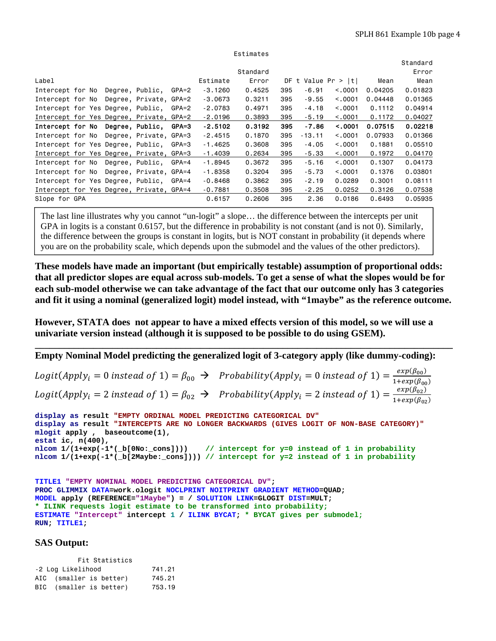|                                          |  |                 |                        |           |           |          |     |          |                       |         | Standard |
|------------------------------------------|--|-----------------|------------------------|-----------|-----------|----------|-----|----------|-----------------------|---------|----------|
|                                          |  |                 |                        |           |           | Standard |     |          |                       |         | Error    |
| Label                                    |  |                 |                        |           | Estimate  | Error    |     |          | DF t Value $Pr >  t $ | Mean    | Mean     |
| Intercept for No                         |  |                 | Degree, Public,        | GPA=2     | $-3,1260$ | 0.4525   | 395 | $-6.91$  | < 0.0001              | 0.04205 | 0.01823  |
| Intercept for No                         |  |                 | Degree, Private, GPA=2 |           | $-3,0673$ | 0.3211   | 395 | $-9.55$  | < 0.001               | 0.04448 | 0.01365  |
| Intercept for Yes Degree, Public,        |  |                 |                        | GPA=2     | $-2,0783$ | 0.4971   | 395 | $-4.18$  | < 0.001               | 0.1112  | 0.04914  |
| Intercept for Yes Degree, Private, GPA=2 |  |                 |                        |           | $-2,0196$ | 0.3893   | 395 | $-5.19$  | < 0.001               | 0.1172  | 0.04027  |
| Intercept for No                         |  |                 | Degree Public          | $GPA=3$   | $-2.5102$ | 0.3192   | 395 | $-7.86$  | < .0001               | 0.07515 | 0.02218  |
| Intercept for No                         |  |                 | Degree, Private, GPA=3 |           | $-2.4515$ | 0.1870   | 395 | $-13.11$ | < 0.001               | 0.07933 | 0.01366  |
| Intercept for Yes Degree, Public,        |  |                 |                        | GPA=3     | $-1.4625$ | 0.3608   | 395 | $-4.05$  | < 0.001               | 0.1881  | 0.05510  |
| Intercept for Yes Degree, Private, GPA=3 |  |                 |                        |           | $-1.4039$ | 0.2634   | 395 | $-5.33$  | < 0.001               | 0.1972  | 0.04170  |
| Intercept for No                         |  | Degree, Public, |                        | GPA=4     | $-1.8945$ | 0.3672   | 395 | $-5.16$  | < 0.001               | 0.1307  | 0.04173  |
| Intercept for No                         |  |                 | Degree, Private, GPA=4 |           | $-1.8358$ | 0.3204   | 395 | $-5.73$  | < 0.001               | 0.1376  | 0.03801  |
| Intercept for Yes Degree, Public,        |  |                 |                        | $GPA = 4$ | $-0.8468$ | 0.3862   | 395 | $-2.19$  | 0.0289                | 0.3001  | 0.08111  |
| Intercept for Yes Degree, Private, GPA=4 |  |                 |                        |           | $-0.7881$ | 0.3508   | 395 | $-2.25$  | 0.0252                | 0.3126  | 0.07538  |
| Slope for GPA                            |  |                 |                        |           | 0.6157    | 0.2606   | 395 | 2.36     | 0.0186                | 0.6493  | 0.05935  |

Estimates

The last line illustrates why you cannot "un-logit" a slope… the difference between the intercepts per unit GPA in logits is a constant 0.6157, but the difference in probability is not constant (and is not 0). Similarly, the difference between the groups is constant in logits, but is NOT constant in probability (it depends where you are on the probability scale, which depends upon the submodel and the values of the other predictors).

**These models have made an important (but empirically testable) assumption of proportional odds: that all predictor slopes are equal across sub-models. To get a sense of what the slopes would be for each sub-model otherwise we can take advantage of the fact that our outcome only has 3 categories and fit it using a nominal (generalized logit) model instead, with "1maybe" as the reference outcome.** 

**However, STATA does not appear to have a mixed effects version of this model, so we will use a univariate version instead (although it is supposed to be possible to do using GSEM).** 

**\_\_\_\_\_\_\_\_\_\_\_\_\_\_\_\_\_\_\_\_\_\_\_\_\_\_\_\_\_\_\_\_\_\_\_\_\_\_\_\_\_\_\_\_\_\_\_\_\_\_\_\_\_\_\_\_\_\_\_\_\_\_\_\_\_\_\_\_\_\_\_\_\_\_\_\_\_\_\_\_\_\_\_\_\_\_** 

**Empty Nominal Model predicting the generalized logit of 3-category apply (like dummy-coding):**   $Logit(Apply_i = 0 \text{ instead of } 1) = \beta_{00} \rightarrow \ \ \text{Probability}(Apply_i = 0 \text{ instead of } 1) = \frac{exp(\beta_{00})}{1+exp(\beta_{00})}$  $Logit(Apply_i = 2 \ instead \ of \ 1) = \beta_{02} \ \ \rightarrow \ \ \ Probability(Apply_i = 2 \ instead \ of \ 1) = \frac{exp(\beta_{02})}{1+exp(\beta_{02})}$ **display as result "EMPTY ORDINAL MODEL PREDICTING CATEGORICAL DV" display as result "INTERCEPTS ARE NO LONGER BACKWARDS (GIVES LOGIT OF NON-BASE CATEGORY)" mlogit apply , baseoutcome(1), estat ic, n(400),** 

```
nlcom 1/(1+exp(-1*(_b[0No:_cons]))) // intercept for y=0 instead of 1 in probability
nlcom 1/(1+exp(-1*(_b[2Maybe:_cons]))) // intercept for y=2 instead of 1 in probability
```

```
TITLE1 "EMPTY NOMINAL MODEL PREDICTING CATEGORICAL DV"; 
PROC GLIMMIX DATA=work.ologit NOCLPRINT NOITPRINT GRADIENT METHOD=QUAD; 
MODEL apply (REFERENCE="1Maybe") = / SOLUTION LINK=GLOGIT DIST=MULT; 
* ILINK requests logit estimate to be transformed into probability;
ESTIMATE "Intercept" intercept 1 / ILINK BYCAT; * BYCAT gives per submodel;
RUN; TITLE1;
```
## **SAS Output:**

|                             | Fit Statistics          |        |  |  |  |  |  |  |  |  |  |
|-----------------------------|-------------------------|--------|--|--|--|--|--|--|--|--|--|
| -2 Log Likelihood<br>741.21 |                         |        |  |  |  |  |  |  |  |  |  |
|                             | AIC (smaller is better) | 745.21 |  |  |  |  |  |  |  |  |  |
|                             | BIC (smaller is better) | 753.19 |  |  |  |  |  |  |  |  |  |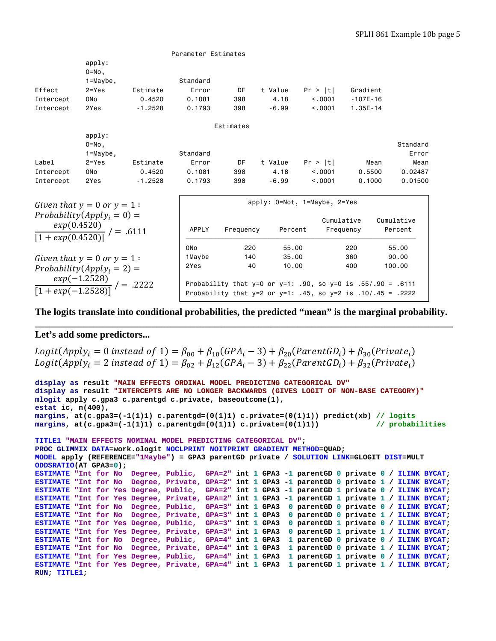|           |                                                   |           | Parameter Estimates |           |         |                                                                    |              |            |
|-----------|---------------------------------------------------|-----------|---------------------|-----------|---------|--------------------------------------------------------------------|--------------|------------|
|           | apply:<br>$0 = No,$                               |           |                     |           |         |                                                                    |              |            |
|           | $1 = Maybe,$                                      |           | Standard            |           |         |                                                                    |              |            |
| Effect    | $2 = Yes$                                         | Estimate  | Error               | DF        | t Value | Pr >  t                                                            | Gradient     |            |
| Intercept | 0 <sub>No</sub>                                   | 0.4520    | 0.1081              | 398       | 4.18    | < 0.001                                                            | $-107E - 16$ |            |
| Intercept | 2Yes                                              | $-1.2528$ | 0.1793              | 398       | $-6.99$ | < 0.001                                                            | $1.35E - 14$ |            |
|           |                                                   |           |                     | Estimates |         |                                                                    |              |            |
|           | apply:                                            |           |                     |           |         |                                                                    |              |            |
|           | $0 = No$ ,                                        |           |                     |           |         |                                                                    |              | Standard   |
|           | $1 = Maybe,$                                      |           | Standard            |           |         |                                                                    |              | Error      |
| Label     | $2 = Yes$                                         | Estimate  | Error               | <b>DF</b> | t Value | Pr >  t                                                            | Mean         | Mean       |
| Intercept | 0 <sub>No</sub>                                   | 0.4520    | 0.1081              | 398       | 4.18    | < 0.001                                                            | 0.5500       | 0.02487    |
| Intercept | 2Yes                                              | $-1.2528$ | 0.1793              | 398       | $-6.99$ | < 0.0001                                                           | 0.1000       | 0.01500    |
|           | Given that $y = 0$ or $y = 1$ :                   |           |                     |           |         | apply: 0=Not, 1=Maybe, 2=Yes                                       |              |            |
|           | Probability $(Apply_i = 0) =$                     |           |                     |           |         |                                                                    | Cumulative   | Cumulative |
|           | $\frac{exp(0.4520)}{[1+exp(0.4520)]}$ / = .6111   |           | <b>APPLY</b>        | Frequency | Percent |                                                                    | Frequency    | Percent    |
|           |                                                   |           | 0 <sub>No</sub>     | 220       | 55,00   |                                                                    | 220          | 55,00      |
|           | Given that $y = 0$ or $y = 1$ :                   |           | 1Maybe              | 140       | 35,00   |                                                                    | 360          | 90.00      |
|           | Probability $(Apply_i = 2) =$                     |           |                     | 40        | 10.00   |                                                                    | 400          | 100,00     |
|           | $\frac{exp(-1.2528)}{[1+exp(-1.2528)]}$ / = .2222 |           |                     |           |         | Probability that y=0 or y=1: .90, so y=0 is .55/.90 = .6111        |              |            |
|           |                                                   |           |                     |           |         | Probability that $y=2$ or $y=1$ : .45, so $y=2$ is .10/.45 = .2222 |              |            |

**The logits translate into conditional probabilities, the predicted "mean" is the marginal probability. \_\_\_\_\_\_\_\_\_\_\_\_\_\_\_\_\_\_\_\_\_\_\_\_\_\_\_\_\_\_\_\_\_\_\_\_\_\_\_\_\_\_\_\_\_\_\_\_\_\_\_\_\_\_\_\_\_\_\_\_\_\_\_\_\_\_\_\_\_\_\_\_\_\_\_\_\_\_\_\_\_\_\_\_\_\_** 

### **Let's add some predictors...**

```
Logit(Apply_i = 0 instead of 1) = \beta_{00} + \beta_{10} (GPA_i - 3) + \beta_{20} (ParentGD_i) + \beta_{30} (Private_i)Logit(Apply_i = 2 \text{ instead of } 1) = \beta_{02} + \beta_{12}(GPA_i - 3) + \beta_{22}(ParentGD_i) + \beta_{32}(Private_i)
```

```
display as result "MAIN EFFECTS ORDINAL MODEL PREDICTING CATEGORICAL DV" 
display as result "INTERCEPTS ARE NO LONGER BACKWARDS (GIVES LOGIT OF NON-BASE CATEGORY)"
mlogit apply c.gpa3 c.parentgd c.private, baseoutcome(1), 
estat ic, n(400), 
margins, at(c.gpa3=(-1(1)1) c.parentgd=(0(1)1) c.private=(0(1)1)) predict(xb) // logits
margins, at(c.gpa3=(-1(1)1) c.parentgd=(0(1)1) c.private=(0(1)1)) // probabilities
TITLE1 "MAIN EFFECTS NOMINAL MODEL PREDICTING CATEGORICAL DV"; 
PROC GLIMMIX DATA=work.ologit NOCLPRINT NOITPRINT GRADIENT METHOD=QUAD; 
MODEL apply (REFERENCE="1Maybe") = GPA3 parentGD private / SOLUTION LINK=GLOGIT DIST=MULT 
ODDSRATIO(AT GPA3=0); 
ESTIMATE "Int for No Degree, Public, GPA=2" int 1 GPA3 -1 parentGD 0 private 0 / ILINK BYCAT; 
ESTIMATE "Int for No Degree, Private, GPA=2" int 1 GPA3 -1 parentGD 0 private 1 / ILINK BYCAT; 
ESTIMATE "Int for Yes Degree, Public, GPA=2" int 1 GPA3 -1 parentGD 1 private 0 / ILINK BYCAT; 
ESTIMATE "Int for Yes Degree, Private, GPA=2" int 1 GPA3 -1 parentGD 1 private 1 / ILINK BYCAT; 
ESTIMATE "Int for No Degree, Public, GPA=3" int 1 GPA3 0 parentGD 0 private 0 / ILINK BYCAT; 
ESTIMATE "Int for No Degree, Private, GPA=3" int 1 GPA3 0 parentGD 0 private 1 / ILINK BYCAT; 
ESTIMATE "Int for Yes Degree, Public, GPA=3" int 1 GPA3 0 parentGD 1 private 0 / ILINK BYCAT; 
ESTIMATE "Int for Yes Degree, Private, GPA=3" int 1 GPA3 0 parentGD 1 private 1 / ILINK BYCAT; 
ESTIMATE "Int for No Degree, Public, GPA=4" int 1 GPA3 1 parentGD 0 private 0 / ILINK BYCAT; 
ESTIMATE "Int for No Degree, Private, GPA=4" int 1 GPA3 1 parentGD 0 private 1 / ILINK BYCAT; 
ESTIMATE "Int for Yes Degree, Public, GPA=4" int 1 GPA3 1 parentGD 1 private 0 / ILINK BYCAT; 
ESTIMATE "Int for Yes Degree, Private, GPA=4" int 1 GPA3 1 parentGD 1 private 1 / ILINK BYCAT; 
RUN; TITLE1;
```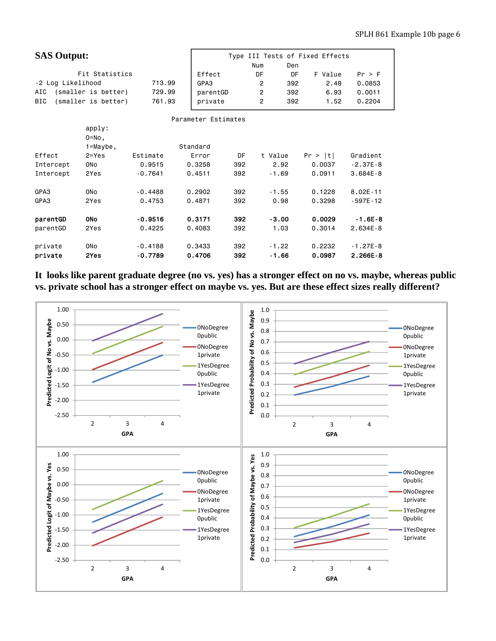| <b>SAS Output:</b>                |           |                     | Num | Type III Tests of Fixed Effects<br>Den |     |         |              |
|-----------------------------------|-----------|---------------------|-----|----------------------------------------|-----|---------|--------------|
| Fit Statistics                    |           | Effect              |     | DF                                     | DF  | F Value | Pr > F       |
| -2 Log Likelihood                 | 713.99    | GPA3                |     | $\overline{c}$                         | 392 | 2.48    | 0.0853       |
| (smaller is better)<br>AIC        | 729.99    | parentGD            |     | $\overline{c}$                         | 392 | 6.93    | 0.0011       |
| (smaller is better)<br><b>BIC</b> | 761.93    | private             |     | $\overline{c}$                         | 392 | 1.52    | 0.2204       |
|                                   |           |                     |     |                                        |     |         |              |
|                                   |           | Parameter Estimates |     |                                        |     |         |              |
| apply:                            |           |                     |     |                                        |     |         |              |
| $0 = No,$                         |           |                     |     |                                        |     |         |              |
| $1 = Maybe,$                      |           | Standard            |     |                                        |     |         |              |
| Effect<br>$2 = Yes$               | Estimate  | Error               | DF  | t Value                                |     | Pr >  t | Gradient     |
| Intercept<br>0 <sub>No</sub>      | 0.9515    | 0.3258              | 392 | 2.92                                   |     | 0.0037  | $-2.37E-8$   |
| Intercept<br>2Yes                 | $-0.7641$ | 0.4511              | 392 | $-1.69$                                |     | 0.0911  | $3.684E - 8$ |
|                                   |           |                     |     |                                        |     |         |              |
| GPA3<br>0 <sub>No</sub>           | $-0.4488$ | 0.2902              | 392 | $-1.55$                                |     | 0.1228  | $8.02E - 11$ |
| GPA3<br>2Yes                      | 0.4753    | 0.4871              | 392 | 0.98                                   |     | 0.3298  | $-597E - 12$ |
|                                   |           |                     |     |                                        |     |         |              |
| <b>ONO</b><br>parentGD            | $-0.9516$ | 0.3171              | 392 | $-3.00$                                |     | 0.0029  | $-1.6E-8$    |
| parentGD<br>2Yes                  | 0.4225    | 0.4083              | 392 | 1.03                                   |     | 0.3014  | $2.634E - 8$ |
|                                   |           |                     |     |                                        |     |         |              |
| private<br><b>ONO</b>             | $-0.4188$ | 0.3433              | 392 | $-1.22$                                |     | 0.2232  | $-1.27E-8$   |
| private<br>2Yes                   | $-0.7789$ | 0.4706              | 392 | $-1.66$                                |     | 0.0987  | $2.266E - 8$ |

**It looks like parent graduate degree (no vs. yes) has a stronger effect on no vs. maybe, whereas public vs. private school has a stronger effect on maybe vs. yes. But are these effect sizes really different?** 

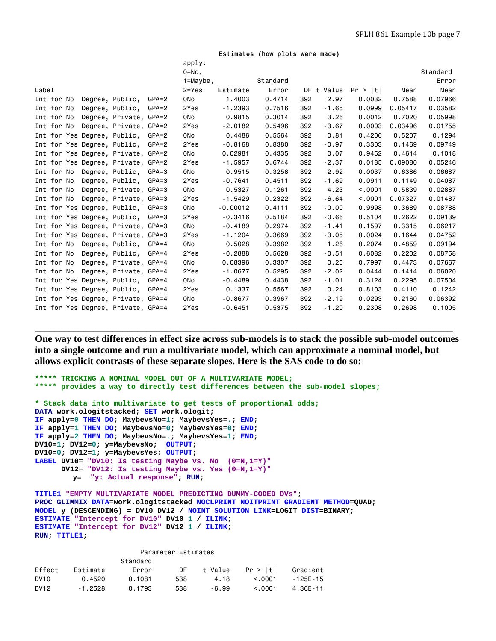|  |  |  | Estimates (how plots were made) |  |
|--|--|--|---------------------------------|--|
|--|--|--|---------------------------------|--|

|                                    |                        |         | apply:          |            |          |     |            |         |         |          |
|------------------------------------|------------------------|---------|-----------------|------------|----------|-----|------------|---------|---------|----------|
|                                    |                        |         | $0 = No$ ,      |            |          |     |            |         |         | Standard |
|                                    |                        |         | $1 =$ Maybe,    |            | Standard |     |            |         |         | Error    |
| Label                              |                        |         | $2 = Yes$       | Estimate   | Error    |     | DF t Value | Pr >  t | Mean    | Mean     |
| Int for No<br>Degree, Public,      |                        | $GPA=2$ | 0N <sub>o</sub> | 1,4003     | 0.4714   | 392 | 2.97       | 0.0032  | 0.7588  | 0.07966  |
| Int for No<br>Degree, Public,      |                        | $GPA=2$ | 2Yes            | $-1.2393$  | 0.7516   | 392 | $-1.65$    | 0.0999  | 0.05417 | 0.03582  |
| Int for No                         | Degree, Private, GPA=2 |         | 0No             | 0.9815     | 0.3014   | 392 | 3.26       | 0.0012  | 0.7020  | 0.05998  |
| Int for No                         | Degree, Private, GPA=2 |         | 2Yes            | $-2.0182$  | 0.5496   | 392 | $-3.67$    | 0.0003  | 0.03496 | 0.01755  |
| Int for Yes Degree, Public, GPA=2  |                        |         | 0No             | 0.4486     | 0.5564   | 392 | 0.81       | 0.4206  | 0.5207  | 0.1294   |
| Int for Yes Degree, Public, GPA=2  |                        |         | 2Yes            | $-0.8168$  | 0.8380   | 392 | $-0.97$    | 0.3303  | 0.1469  | 0.09749  |
| Int for Yes Degree, Private, GPA=2 |                        |         | 0No             | 0.02981    | 0.4335   | 392 | 0.07       | 0.9452  | 0.4614  | 0.1018   |
| Int for Yes Degree, Private, GPA=2 |                        |         | 2Yes            | $-1.5957$  | 0.6744   | 392 | $-2.37$    | 0.0185  | 0.09080 | 0.05246  |
| Int for No Degree, Public, GPA=3   |                        |         | 0No             | 0.9515     | 0.3258   | 392 | 2.92       | 0.0037  | 0.6386  | 0.06687  |
| Int for No<br>Degree, Public,      |                        | GPA=3   | 2Yes            | $-0.7641$  | 0.4511   | 392 | $-1.69$    | 0.0911  | 0.1149  | 0.04087  |
| Int for No                         | Degree, Private, GPA=3 |         | 0No             | 0.5327     | 0.1261   | 392 | 4.23       | < 0.001 | 0.5839  | 0.02887  |
| Int for No                         | Degree, Private, GPA=3 |         | 2Yes            | $-1.5429$  | 0.2322   | 392 | $-6.64$    | < 0.001 | 0.07327 | 0.01487  |
| Int for Yes Degree, Public, GPA=3  |                        |         | 0No             | $-0.00012$ | 0.4111   | 392 | $-0.00$    | 0.9998  | 0.3689  | 0.08788  |
| Int for Yes Degree, Public,        |                        | GPA=3   | 2Yes            | $-0.3416$  | 0.5184   | 392 | $-0.66$    | 0.5104  | 0.2622  | 0.09139  |
| Int for Yes Degree, Private, GPA=3 |                        |         | 0No             | $-0.4189$  | 0.2974   | 392 | $-1.41$    | 0.1597  | 0.3315  | 0.06217  |
| Int for Yes Degree, Private, GPA=3 |                        |         | 2Yes            | $-1.1204$  | 0.3669   | 392 | $-3.05$    | 0.0024  | 0.1644  | 0.04752  |
| Int for No Degree, Public,         |                        | GPA=4   | 0No             | 0.5028     | 0.3982   | 392 | 1.26       | 0.2074  | 0.4859  | 0.09194  |
| Int for No                         | Degree, Public, GPA=4  |         | 2Yes            | $-0.2888$  | 0.5628   | 392 | $-0.51$    | 0.6082  | 0.2202  | 0.08758  |
| Int for No                         | Degree, Private, GPA=4 |         | 0No             | 0.08396    | 0.3307   | 392 | 0.25       | 0.7997  | 0.4473  | 0.07667  |
| Int for No                         | Degree, Private, GPA=4 |         | 2Yes            | $-1.0677$  | 0.5295   | 392 | $-2.02$    | 0.0444  | 0.1414  | 0.06020  |
| Int for Yes Degree, Public, GPA=4  |                        |         | 0No             | $-0.4489$  | 0.4438   | 392 | -1.01      | 0.3124  | 0.2295  | 0.07504  |
| Int for Yes Degree, Public,        |                        | GPA=4   | 2Yes            | 0.1337     | 0.5567   | 392 | 0.24       | 0.8103  | 0.4110  | 0.1242   |
| Int for Yes Degree, Private, GPA=4 |                        |         | 0No             | $-0.8677$  | 0.3967   | 392 | $-2.19$    | 0.0293  | 0.2160  | 0.06392  |
| Int for Yes Degree, Private, GPA=4 |                        |         | 2Yes            | $-0.6451$  | 0.5375   | 392 | $-1.20$    | 0.2308  | 0.2698  | 0.1005   |

**One way to test differences in effect size across sub-models is to stack the possible sub-model outcomes into a single outcome and run a multivariate model, which can approximate a nominal model, but allows explicit contrasts of these separate slopes. Here is the SAS code to do so:** 

**\_\_\_\_\_\_\_\_\_\_\_\_\_\_\_\_\_\_\_\_\_\_\_\_\_\_\_\_\_\_\_\_\_\_\_\_\_\_\_\_\_\_\_\_\_\_\_\_\_\_\_\_\_\_\_\_\_\_\_\_\_\_\_\_\_\_\_\_\_\_\_\_\_\_\_\_\_\_\_\_\_\_\_\_\_\_** 

```
***** TRICKING A NOMINAL MODEL OUT OF A MULTIVARIATE MODEL;
***** provides a way to directly test differences between the sub-model slopes;
* Stack data into multivariate to get tests of proportional odds;
DATA work.ologitstacked; SET work.ologit; 
IF apply=0 THEN DO; MaybevsNo=1; MaybevsYes=.; END; 
IF apply=1 THEN DO; MaybevsNo=0; MaybevsYes=0; END; 
IF apply=2 THEN DO; MaybevsNo=.; MaybevsYes=1; END; 
DV10=1; DV12=0; y=MaybevsNo; OUTPUT; 
DV10=0; DV12=1; y=MaybevsYes; OUTPUT; 
LABEL DV10= "DV10: Is testing Maybe vs. No (0=N,1=Y)"
      DV12= "DV12: Is testing Maybe vs. Yes (0=N,1=Y)"
         y= "y: Actual response"; RUN; 
TITLE1 "EMPTY MULTIVARIATE MODEL PREDICTING DUMMY-CODED DVs"; 
PROC GLIMMIX DATA=work.ologitstacked NOCLPRINT NOITPRINT GRADIENT METHOD=QUAD; 
MODEL y (DESCENDING) = DV10 DV12 / NOINT SOLUTION LINK=LOGIT DIST=BINARY; 
ESTIMATE "Intercept for DV10" DV10 1 / ILINK;
```
**ESTIMATE "Intercept for DV12" DV12 1 / ILINK; RUN; TITLE1;** 

| Parameter Estimates |           |          |     |         |         |              |  |  |  |  |
|---------------------|-----------|----------|-----|---------|---------|--------------|--|--|--|--|
|                     |           | Standard |     |         |         |              |  |  |  |  |
| Effect              | Estimate  | Error    | DF  | t Value | Pr >  t | Gradient     |  |  |  |  |
| DV <sub>10</sub>    | 0.4520    | 0.1081   | 538 | 4.18    | < 0.001 | $-125F - 15$ |  |  |  |  |
| DV12                | $-1.2528$ | 0.1793   | 538 | -6.99   | < 0.001 | 4.36F-11     |  |  |  |  |